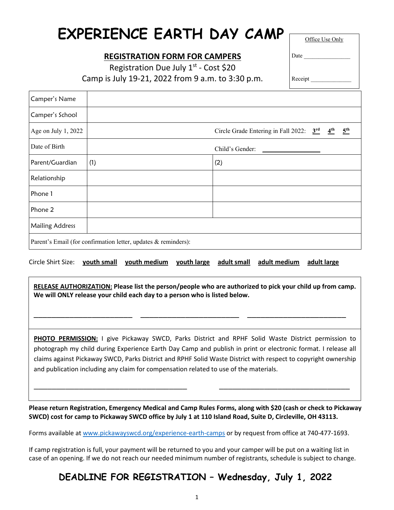# **EXPERIENCE EARTH DAY CAMP**

## **REGISTRATION FORM FOR CAMPERS**

Office Use Only

Registration Due July  $1^{st}$  - Cost \$20 Camp is July 19-21, 2022 from 9 a.m. to 3:30 p.m.

Receipt

Date

| Camper's Name                                                  |                 |                                                                                           |  |  |  |
|----------------------------------------------------------------|-----------------|-------------------------------------------------------------------------------------------|--|--|--|
| Camper's School                                                |                 |                                                                                           |  |  |  |
| Age on July 1, 2022                                            |                 | $\frac{5^{th}}{2}$<br>Circle Grade Entering in Fall 2022: $3^{\text{rd}}$ $4^{\text{th}}$ |  |  |  |
| Date of Birth                                                  | Child's Gender: |                                                                                           |  |  |  |
| Parent/Guardian                                                | (1)             | (2)                                                                                       |  |  |  |
| Relationship                                                   |                 |                                                                                           |  |  |  |
| Phone 1                                                        |                 |                                                                                           |  |  |  |
| Phone 2                                                        |                 |                                                                                           |  |  |  |
| <b>Mailing Address</b>                                         |                 |                                                                                           |  |  |  |
| Parent's Email (for confirmation letter, updates & reminders): |                 |                                                                                           |  |  |  |

Circle Shirt Size: **youth small youth medium youth large adult small adult medium adult large**

**RELEASE AUTHORIZATION: Please list the person/people who are authorized to pick your child up from camp. We will ONLY release your child each day to a person who is listed below.**

\_\_\_\_\_\_\_\_\_\_\_\_\_\_\_\_\_\_\_\_\_\_ \_\_\_\_\_\_\_\_\_\_\_\_\_\_\_\_\_\_\_\_\_\_ \_\_\_\_\_\_\_\_\_\_\_\_\_\_\_\_\_\_\_\_\_\_

**PHOTO PERMISSION:** I give Pickaway SWCD, Parks District and RPHF Solid Waste District permission to photograph my child during Experience Earth Day Camp and publish in print or electronic format. I release all claims against Pickaway SWCD, Parks District and RPHF Solid Waste District with respect to copyright ownership and publication including any claim for compensation related to use of the materials.

**Please return Registration, Emergency Medical and Camp Rules Forms, along with \$20 (cash or check to Pickaway SWCD) cost for camp to Pickaway SWCD office by July 1 at 110 Island Road, Suite D, Circleville, OH 43113.**

 $\_$  , and the contribution of the contribution of  $\mathcal{L}_\mathcal{A}$  , and the contribution of  $\mathcal{L}_\mathcal{A}$ 

 $\overline{a}$ 

Forms available at [www.pickawayswcd.org/experience-earth-camps](http://www.pickawayswcd.org/experience-earth-camps.html) or by request from office at 740-477-1693.

If camp registration is full, your payment will be returned to you and your camper will be put on a waiting list in case of an opening. If we do not reach our needed minimum number of registrants, schedule is subject to change.

# **DEADLINE FOR REGISTRATION – Wednesday, July 1, 2022**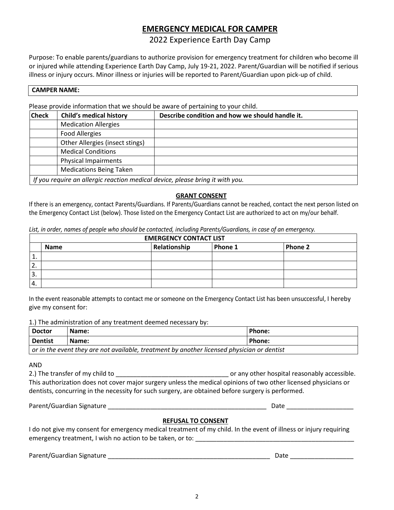## **EMERGENCY MEDICAL FOR CAMPER**

2022 Experience Earth Day Camp

Purpose: To enable parents/guardians to authorize provision for emergency treatment for children who become ill or injured while attending Experience Earth Day Camp, July 19-21, 2022. Parent/Guardian will be notified if serious illness or injury occurs. Minor illness or injuries will be reported to Parent/Guardian upon pick-up of child.

#### **CAMPER NAME:**

Please provide information that we should be aware of pertaining to your child.

| <b>Check</b> | <b>Child's medical history</b>                                                | Describe condition and how we should handle it. |
|--------------|-------------------------------------------------------------------------------|-------------------------------------------------|
|              | <b>Medication Allergies</b>                                                   |                                                 |
|              | <b>Food Allergies</b>                                                         |                                                 |
|              | Other Allergies (insect stings)                                               |                                                 |
|              | <b>Medical Conditions</b>                                                     |                                                 |
|              | <b>Physical Impairments</b>                                                   |                                                 |
|              | <b>Medications Being Taken</b>                                                |                                                 |
|              | If you require an allergic reaction medical device, please bring it with you. |                                                 |

#### **GRANT CONSENT**

If there is an emergency, contact Parents/Guardians. If Parents/Guardians cannot be reached, contact the next person listed on the Emergency Contact List (below). Those listed on the Emergency Contact List are authorized to act on my/our behalf.

|                  |             | <b>EMERGENCY CONTACT LIST</b> |         |         |
|------------------|-------------|-------------------------------|---------|---------|
|                  | <b>Name</b> | Relationship                  | Phone 1 | Phone 2 |
| ᅩ                |             |                               |         |         |
| 2.               |             |                               |         |         |
| 3.               |             |                               |         |         |
| $\overline{4}$ . |             |                               |         |         |

*List, in order, names of people who should be contacted, including Parents/Guardians, in case of an emergency.*

In the event reasonable attempts to contact me or someone on the Emergency Contact List has been unsuccessful, I hereby give my consent for:

1.) The administration of any treatment deemed necessary by:

| <b>Doctor</b>                                                                                     | Name: | Phone: |  |  |  |
|---------------------------------------------------------------------------------------------------|-------|--------|--|--|--|
| <b>Dentist</b>                                                                                    | Name: | Phone: |  |  |  |
| $\mid$ or in the event they are not available, treatment by another licensed physician or dentist |       |        |  |  |  |

AND

2.) The transfer of my child to \_\_\_\_\_\_\_\_\_\_\_\_\_\_\_\_\_\_\_\_\_\_\_\_\_\_\_\_\_\_\_\_ or any other hospital reasonably accessible. This authorization does not cover major surgery unless the medical opinions of two other licensed physicians or dentists, concurring in the necessity for such surgery, are obtained before surgery is performed.

Parent/Guardian Signature \_\_\_\_\_\_\_\_\_\_\_\_\_\_\_\_\_\_\_\_\_\_\_\_\_\_\_\_\_\_\_\_\_\_\_\_\_\_\_\_\_\_\_\_\_ Date \_\_\_\_\_\_\_\_\_\_\_\_\_\_\_\_\_\_\_

#### **REFUSAL TO CONSENT**

I do not give my consent for emergency medical treatment of my child. In the event of illness or injury requiring emergency treatment, I wish no action to be taken, or to: \_\_\_\_\_\_\_\_\_\_\_\_\_\_\_\_\_\_\_\_\_\_\_\_\_\_\_\_\_\_\_\_\_\_\_\_\_\_\_\_\_\_\_\_\_

Parent/Guardian Signature \_\_\_\_\_\_\_\_\_\_\_\_\_\_\_\_\_\_\_\_\_\_\_\_\_\_\_\_\_\_\_\_\_\_\_\_\_\_\_\_\_\_\_\_\_\_ Date \_\_\_\_\_\_\_\_\_\_\_\_\_\_\_\_\_\_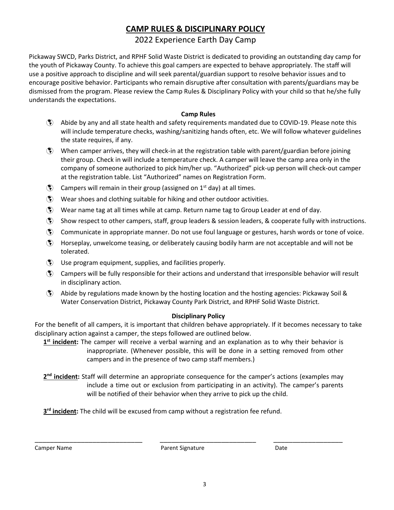## **CAMP RULES & DISCIPLINARY POLICY**

## 2022 Experience Earth Day Camp

Pickaway SWCD, Parks District, and RPHF Solid Waste District is dedicated to providing an outstanding day camp for the youth of Pickaway County. To achieve this goal campers are expected to behave appropriately. The staff will use a positive approach to discipline and will seek parental/guardian support to resolve behavior issues and to encourage positive behavior. Participants who remain disruptive after consultation with parents/guardians may be dismissed from the program. Please review the Camp Rules & Disciplinary Policy with your child so that he/she fully understands the expectations.

#### **Camp Rules**

- Abide by any and all state health and safety requirements mandated due to COVID-19. Please note this will include temperature checks, washing/sanitizing hands often, etc. We will follow whatever guidelines the state requires, if any.
- $\langle \hat{\mathbf{x}} \rangle$  When camper arrives, they will check-in at the registration table with parent/guardian before joining their group. Check in will include a temperature check. A camper will leave the camp area only in the company of someone authorized to pick him/her up. "Authorized" pick-up person will check-out camper at the registration table. List "Authorized" names on Registration Form.
- $\bullet$  Campers will remain in their group (assigned on 1<sup>st</sup> day) at all times.
- $\binom{2}{3}$  Wear shoes and clothing suitable for hiking and other outdoor activities.
- Wear name tag at all times while at camp. Return name tag to Group Leader at end of day.
- $\hat{\mathcal{S}}$  Show respect to other campers, staff, group leaders & session leaders, & cooperate fully with instructions.
- Communicate in appropriate manner. Do not use foul language or gestures, harsh words or tone of voice.
- Horseplay, unwelcome teasing, or deliberately causing bodily harm are not acceptable and will not be tolerated.
- Use program equipment, supplies, and facilities properly.
- Campers will be fully responsible for their actions and understand that irresponsible behavior will result in disciplinary action.
- Abide by regulations made known by the hosting location and the hosting agencies: Pickaway Soil & Water Conservation District, Pickaway County Park District, and RPHF Solid Waste District.

#### **Disciplinary Policy**

For the benefit of all campers, it is important that children behave appropriately. If it becomes necessary to take disciplinary action against a camper, the steps followed are outlined below.

**1st incident:** The camper will receive a verbal warning and an explanation as to why their behavior is inappropriate. (Whenever possible, this will be done in a setting removed from other campers and in the presence of two camp staff members.)

**2nd incident:** Staff will determine an appropriate consequence for the camper's actions (examples may include a time out or exclusion from participating in an activity). The camper's parents will be notified of their behavior when they arrive to pick up the child.

**3<sup>rd</sup> incident:** The child will be excused from camp without a registration fee refund.

Camper Name **Campair Camper Name Campair Campair Campair Campair Campair Campair Campair Campair Campair Campair Campair Campair Campair Campair Campair Campair Campair Campair Campair Campair Campair Campair Campair Campa** 

\_\_\_\_\_\_\_\_\_\_\_\_\_\_\_\_\_\_\_\_\_\_\_\_\_\_\_\_ \_\_\_\_\_\_\_\_\_\_\_\_\_\_\_\_\_\_\_\_\_\_\_\_\_ \_\_\_\_\_\_\_\_\_\_\_\_\_\_\_\_\_\_